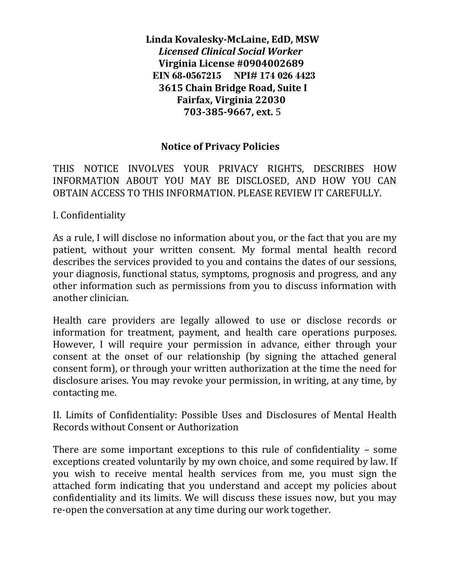## **Linda Kovalesky-McLaine, EdD, MSW**  *Licensed Clinical Social Worker*  **Virginia License #0904002689 EIN 68-0567215 NPI# 174 026 4423 3615 Chain Bridge Road, Suite I Fairfax, Virginia 22030 703-385-9667, ext.** 5

## **Notice of Privacy Policies**

THIS NOTICE INVOLVES YOUR PRIVACY RIGHTS, DESCRIBES HOW INFORMATION ABOUT YOU MAY BE DISCLOSED, AND HOW YOU CAN OBTAIN ACCESS TO THIS INFORMATION. PLEASE REVIEW IT CAREFULLY.

I. Confidentiality

As a rule, I will disclose no information about you, or the fact that you are my patient, without your written consent. My formal mental health record describes the services provided to you and contains the dates of our sessions, your diagnosis, functional status, symptoms, prognosis and progress, and any other information such as permissions from you to discuss information with another clinician.

Health care providers are legally allowed to use or disclose records or information for treatment, payment, and health care operations purposes. However, I will require your permission in advance, either through your consent at the onset of our relationship (by signing the attached general consent form), or through your written authorization at the time the need for disclosure arises. You may revoke your permission, in writing, at any time, by contacting me.

II. Limits of Confidentiality: Possible Uses and Disclosures of Mental Health Records without Consent or Authorization

There are some important exceptions to this rule of confidentiality – some exceptions created voluntarily by my own choice, and some required by law. If you wish to receive mental health services from me, you must sign the attached form indicating that you understand and accept my policies about confidentiality and its limits. We will discuss these issues now, but you may re-open the conversation at any time during our work together.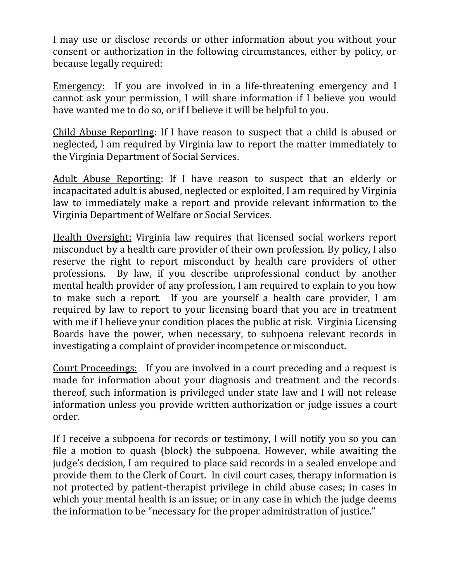I may use or disclose records or other information about you without your consent or authorization in the following circumstances, either by policy, or because legally required:

Emergency: If you are involved in in a life-threatening emergency and I cannot ask your permission, I will share information if I believe you would have wanted me to do so, or if I believe it will be helpful to you.

Child Abuse Reporting: If I have reason to suspect that a child is abused or neglected, I am required by Virginia law to report the matter immediately to the Virginia Department of Social Services.

Adult Abuse Reporting: If I have reason to suspect that an elderly or incapacitated adult is abused, neglected or exploited, I am required by Virginia law to immediately make a report and provide relevant information to the Virginia Department of Welfare or Social Services.

Health Oversight: Virginia law requires that licensed social workers report misconduct by a health care provider of their own profession. By policy, I also reserve the right to report misconduct by health care providers of other professions. By law, if you describe unprofessional conduct by another mental health provider of any profession, I am required to explain to you how to make such a report. If you are yourself a health care provider, I am required by law to report to your licensing board that you are in treatment with me if I believe your condition places the public at risk. Virginia Licensing Boards have the power, when necessary, to subpoena relevant records in investigating a complaint of provider incompetence or misconduct.

Court Proceedings: If you are involved in a court preceding and a request is made for information about your diagnosis and treatment and the records thereof, such information is privileged under state law and I will not release information unless you provide written authorization or judge issues a court order.

If I receive a subpoena for records or testimony, I will notify you so you can file a motion to quash (block) the subpoena. However, while awaiting the judge's decision, I am required to place said records in a sealed envelope and provide them to the Clerk of Court. In civil court cases, therapy information is not protected by patient-therapist privilege in child abuse cases; in cases in which your mental health is an issue; or in any case in which the judge deems the information to be "necessary for the proper administration of justice."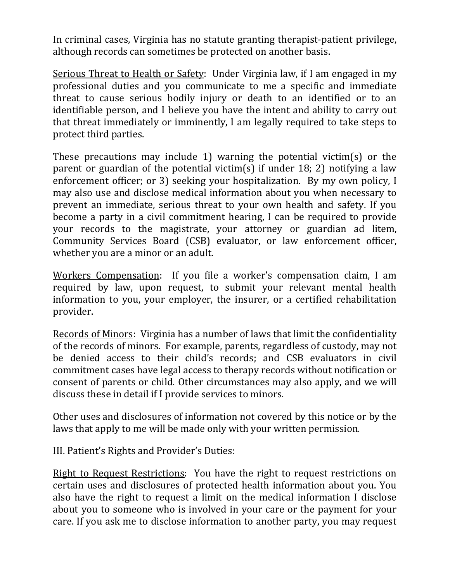In criminal cases, Virginia has no statute granting therapist-patient privilege, although records can sometimes be protected on another basis.

Serious Threat to Health or Safety: Under Virginia law, if I am engaged in my professional duties and you communicate to me a specific and immediate threat to cause serious bodily injury or death to an identified or to an identifiable person, and I believe you have the intent and ability to carry out that threat immediately or imminently, I am legally required to take steps to protect third parties.

These precautions may include 1) warning the potential victim(s) or the parent or guardian of the potential victim(s) if under 18; 2) notifying a law enforcement officer; or 3) seeking your hospitalization. By my own policy, I may also use and disclose medical information about you when necessary to prevent an immediate, serious threat to your own health and safety. If you become a party in a civil commitment hearing, I can be required to provide your records to the magistrate, your attorney or guardian ad litem, Community Services Board (CSB) evaluator, or law enforcement officer, whether you are a minor or an adult.

Workers Compensation: If you file a worker's compensation claim, I am required by law, upon request, to submit your relevant mental health information to you, your employer, the insurer, or a certified rehabilitation provider.

Records of Minors: Virginia has a number of laws that limit the confidentiality of the records of minors. For example, parents, regardless of custody, may not be denied access to their child's records; and CSB evaluators in civil commitment cases have legal access to therapy records without notification or consent of parents or child. Other circumstances may also apply, and we will discuss these in detail if I provide services to minors.

Other uses and disclosures of information not covered by this notice or by the laws that apply to me will be made only with your written permission.

III. Patient's Rights and Provider's Duties:

Right to Request Restrictions: You have the right to request restrictions on certain uses and disclosures of protected health information about you. You also have the right to request a limit on the medical information I disclose about you to someone who is involved in your care or the payment for your care. If you ask me to disclose information to another party, you may request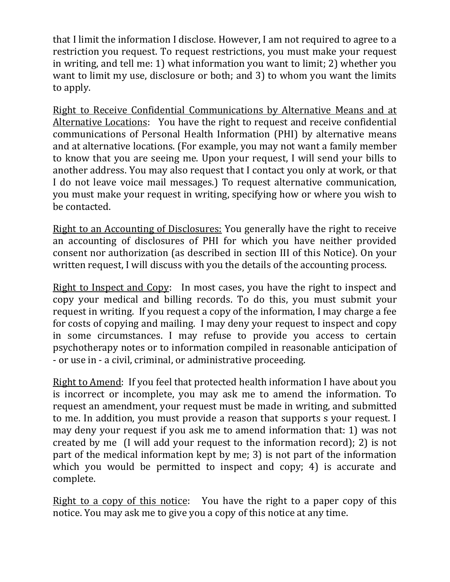that I limit the information I disclose. However, I am not required to agree to a restriction you request. To request restrictions, you must make your request in writing, and tell me: 1) what information you want to limit; 2) whether you want to limit my use, disclosure or both; and 3) to whom you want the limits to apply.

Right to Receive Confidential Communications by Alternative Means and at Alternative Locations: You have the right to request and receive confidential communications of Personal Health Information (PHI) by alternative means and at alternative locations. (For example, you may not want a family member to know that you are seeing me. Upon your request, I will send your bills to another address. You may also request that I contact you only at work, or that I do not leave voice mail messages.) To request alternative communication, you must make your request in writing, specifying how or where you wish to be contacted.

Right to an Accounting of Disclosures: You generally have the right to receive an accounting of disclosures of PHI for which you have neither provided consent nor authorization (as described in section III of this Notice). On your written request, I will discuss with you the details of the accounting process.

Right to Inspect and Copy: In most cases, you have the right to inspect and copy your medical and billing records. To do this, you must submit your request in writing. If you request a copy of the information, I may charge a fee for costs of copying and mailing. I may deny your request to inspect and copy in some circumstances. I may refuse to provide you access to certain psychotherapy notes or to information compiled in reasonable anticipation of - or use in - a civil, criminal, or administrative proceeding.

Right to Amend: If you feel that protected health information I have about you is incorrect or incomplete, you may ask me to amend the information. To request an amendment, your request must be made in writing, and submitted to me. In addition, you must provide a reason that supports s your request. I may deny your request if you ask me to amend information that: 1) was not created by me (I will add your request to the information record); 2) is not part of the medical information kept by me; 3) is not part of the information which you would be permitted to inspect and copy; 4) is accurate and complete.

Right to a copy of this notice: You have the right to a paper copy of this notice. You may ask me to give you a copy of this notice at any time.